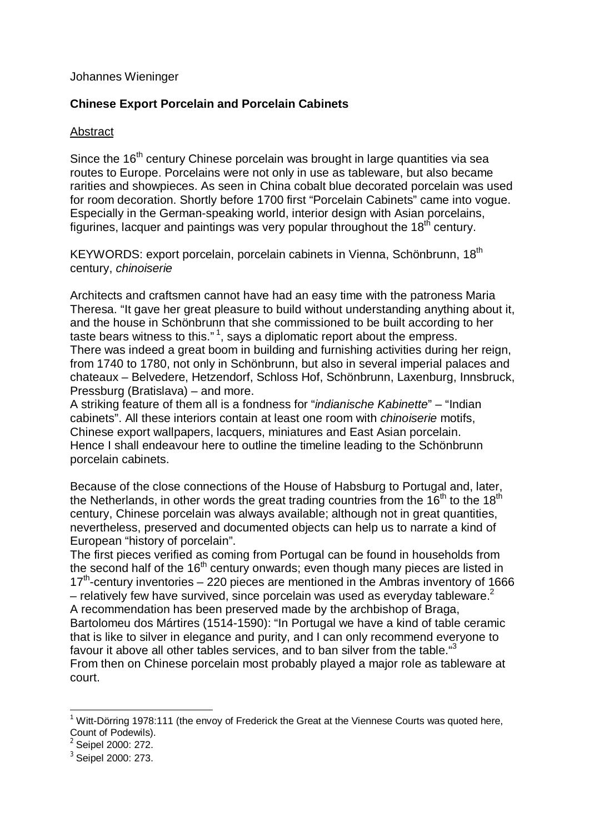## Johannes Wieninger

## **Chinese Export Porcelain and Porcelain Cabinets**

## Abstract

Since the  $16<sup>th</sup>$  century Chinese porcelain was brought in large quantities via sea routes to Europe. Porcelains were not only in use as tableware, but also became rarities and showpieces. As seen in China cobalt blue decorated porcelain was used for room decoration. Shortly before 1700 first "Porcelain Cabinets" came into vogue. Especially in the German-speaking world, interior design with Asian porcelains, figurines, lacquer and paintings was very popular throughout the  $18<sup>th</sup>$  century.

KEYWORDS: export porcelain, porcelain cabinets in Vienna, Schönbrunn, 18<sup>th</sup> century, *chinoiserie*

Architects and craftsmen cannot have had an easy time with the patroness Maria Theresa. "It gave her great pleasure to build without understanding anything about it, and the house in Schönbrunn that she commissioned to be built according to her taste bears witness to this."<sup>1</sup>, says a diplomatic report about the empress. There was indeed a great boom in building and furnishing activities during her reign, from 1740 to 1780, not only in Schönbrunn, but also in several imperial palaces and chateaux – Belvedere, Hetzendorf, Schloss Hof, Schönbrunn, Laxenburg, Innsbruck, Pressburg (Bratislava) – and more.

A striking feature of them all is a fondness for "*indianische Kabinette*" – "Indian cabinets". All these interiors contain at least one room with *chinoiserie* motifs, Chinese export wallpapers, lacquers, miniatures and East Asian porcelain. Hence I shall endeavour here to outline the timeline leading to the Schönbrunn porcelain cabinets.

Because of the close connections of the House of Habsburg to Portugal and, later, the Netherlands, in other words the great trading countries from the  $16<sup>th</sup>$  to the  $18<sup>th</sup>$ century, Chinese porcelain was always available; although not in great quantities, nevertheless, preserved and documented objects can help us to narrate a kind of European "history of porcelain".

The first pieces verified as coming from Portugal can be found in households from the second half of the  $16<sup>th</sup>$  century onwards; even though many pieces are listed in 17<sup>th</sup>-century inventories – 220 pieces are mentioned in the Ambras inventory of 1666 – relatively few have survived, since porcelain was used as everyday tableware.<sup>2</sup> A recommendation has been preserved made by the archbishop of Braga, Bartolomeu dos Mártires (1514-1590): "In Portugal we have a kind of table ceramic that is like to silver in elegance and purity, and I can only recommend everyone to favour it above all other tables services, and to ban silver from the table."3 From then on Chinese porcelain most probably played a major role as tableware at court.

 $\overline{\phantom{a}}$ 

 $1$  Witt-Dörring 1978:111 (the envoy of Frederick the Great at the Viennese Courts was quoted here, Count of Podewils).

Seipel 2000: 272.

<sup>&</sup>lt;sup>3</sup> Seipel 2000: 273.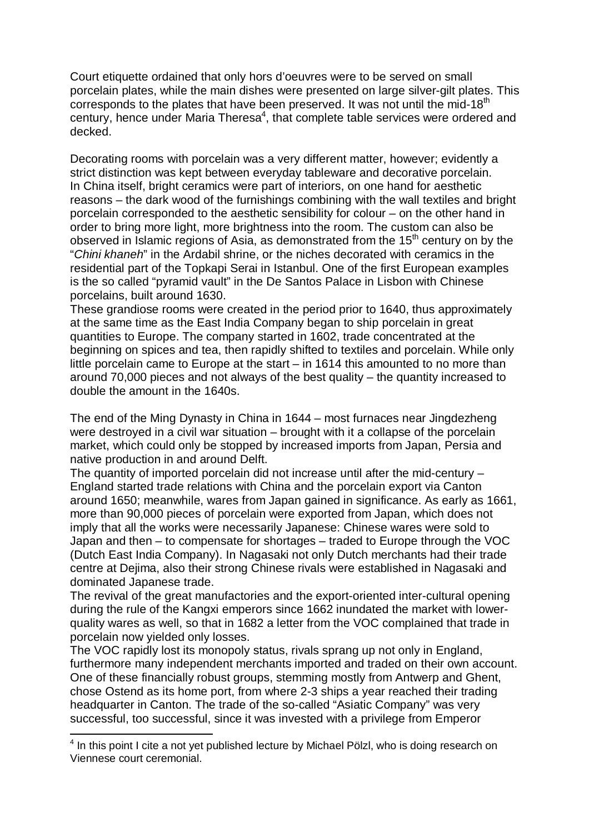Court etiquette ordained that only hors d'oeuvres were to be served on small porcelain plates, while the main dishes were presented on large silver-gilt plates. This corresponds to the plates that have been preserved. It was not until the mid-18<sup>th</sup> century, hence under Maria Theresa $4$ , that complete table services were ordered and decked.

Decorating rooms with porcelain was a very different matter, however; evidently a strict distinction was kept between everyday tableware and decorative porcelain. In China itself, bright ceramics were part of interiors, on one hand for aesthetic reasons – the dark wood of the furnishings combining with the wall textiles and bright porcelain corresponded to the aesthetic sensibility for colour – on the other hand in order to bring more light, more brightness into the room. The custom can also be observed in Islamic regions of Asia, as demonstrated from the  $15<sup>th</sup>$  century on by the "*Chini khaneh*" in the Ardabil shrine, or the niches decorated with ceramics in the residential part of the Topkapi Serai in Istanbul. One of the first European examples is the so called "pyramid vault" in the De Santos Palace in Lisbon with Chinese porcelains, built around 1630.

These grandiose rooms were created in the period prior to 1640, thus approximately at the same time as the East India Company began to ship porcelain in great quantities to Europe. The company started in 1602, trade concentrated at the beginning on spices and tea, then rapidly shifted to textiles and porcelain. While only little porcelain came to Europe at the start – in 1614 this amounted to no more than around 70,000 pieces and not always of the best quality – the quantity increased to double the amount in the 1640s.

The end of the Ming Dynasty in China in 1644 – most furnaces near Jingdezheng were destroyed in a civil war situation – brought with it a collapse of the porcelain market, which could only be stopped by increased imports from Japan, Persia and native production in and around Delft.

The quantity of imported porcelain did not increase until after the mid-century – England started trade relations with China and the porcelain export via Canton around 1650; meanwhile, wares from Japan gained in significance. As early as 1661, more than 90,000 pieces of porcelain were exported from Japan, which does not imply that all the works were necessarily Japanese: Chinese wares were sold to Japan and then – to compensate for shortages – traded to Europe through the VOC (Dutch East India Company). In Nagasaki not only Dutch merchants had their trade centre at Dejima, also their strong Chinese rivals were established in Nagasaki and dominated Japanese trade.

The revival of the great manufactories and the export-oriented inter-cultural opening during the rule of the Kangxi emperors since 1662 inundated the market with lowerquality wares as well, so that in 1682 a letter from the VOC complained that trade in porcelain now yielded only losses.

The VOC rapidly lost its monopoly status, rivals sprang up not only in England, furthermore many independent merchants imported and traded on their own account. One of these financially robust groups, stemming mostly from Antwerp and Ghent, chose Ostend as its home port, from where 2-3 ships a year reached their trading headquarter in Canton. The trade of the so-called "Asiatic Company" was very successful, too successful, since it was invested with a privilege from Emperor

1

<sup>&</sup>lt;sup>4</sup> In this point I cite a not yet published lecture by Michael Pölzl, who is doing research on Viennese court ceremonial.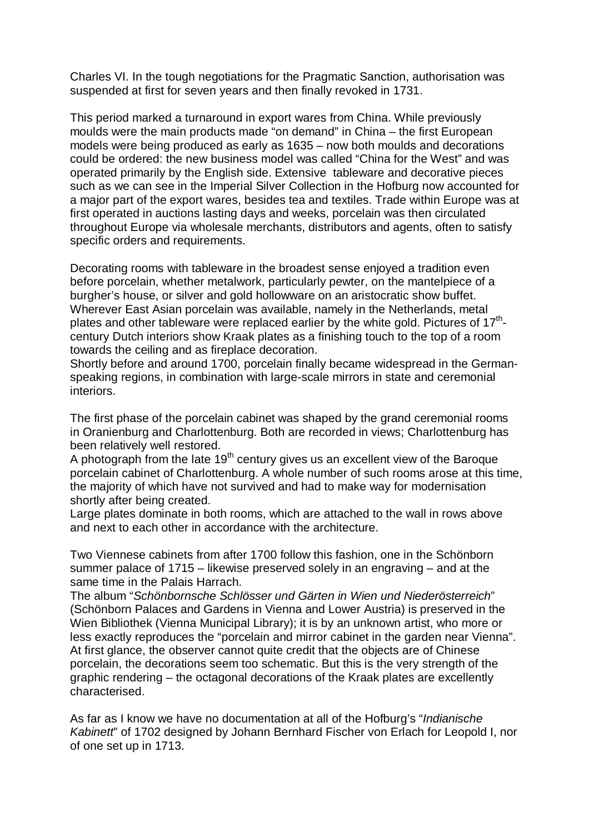Charles VI. In the tough negotiations for the Pragmatic Sanction, authorisation was suspended at first for seven years and then finally revoked in 1731.

This period marked a turnaround in export wares from China. While previously moulds were the main products made "on demand" in China – the first European models were being produced as early as 1635 – now both moulds and decorations could be ordered: the new business model was called "China for the West" and was operated primarily by the English side. Extensive tableware and decorative pieces such as we can see in the Imperial Silver Collection in the Hofburg now accounted for a major part of the export wares, besides tea and textiles. Trade within Europe was at first operated in auctions lasting days and weeks, porcelain was then circulated throughout Europe via wholesale merchants, distributors and agents, often to satisfy specific orders and requirements.

Decorating rooms with tableware in the broadest sense enjoyed a tradition even before porcelain, whether metalwork, particularly pewter, on the mantelpiece of a burgher's house, or silver and gold hollowware on an aristocratic show buffet. Wherever East Asian porcelain was available, namely in the Netherlands, metal plates and other tableware were replaced earlier by the white gold. Pictures of 17<sup>th</sup>century Dutch interiors show Kraak plates as a finishing touch to the top of a room towards the ceiling and as fireplace decoration.

Shortly before and around 1700, porcelain finally became widespread in the Germanspeaking regions, in combination with large-scale mirrors in state and ceremonial interiors.

The first phase of the porcelain cabinet was shaped by the grand ceremonial rooms in Oranienburg and Charlottenburg. Both are recorded in views; Charlottenburg has been relatively well restored.

A photograph from the late  $19<sup>th</sup>$  century gives us an excellent view of the Baroque porcelain cabinet of Charlottenburg. A whole number of such rooms arose at this time, the majority of which have not survived and had to make way for modernisation shortly after being created.

Large plates dominate in both rooms, which are attached to the wall in rows above and next to each other in accordance with the architecture.

Two Viennese cabinets from after 1700 follow this fashion, one in the Schönborn summer palace of 1715 – likewise preserved solely in an engraving – and at the same time in the Palais Harrach.

The album "*Schönbornsche Schlösser und Gärten in Wien und Niederösterreich*" (Schönborn Palaces and Gardens in Vienna and Lower Austria) is preserved in the Wien Bibliothek (Vienna Municipal Library); it is by an unknown artist, who more or less exactly reproduces the "porcelain and mirror cabinet in the garden near Vienna". At first glance, the observer cannot quite credit that the objects are of Chinese porcelain, the decorations seem too schematic. But this is the very strength of the graphic rendering – the octagonal decorations of the Kraak plates are excellently characterised.

As far as I know we have no documentation at all of the Hofburg's "*Indianische Kabinett*" of 1702 designed by Johann Bernhard Fischer von Erlach for Leopold I, nor of one set up in 1713.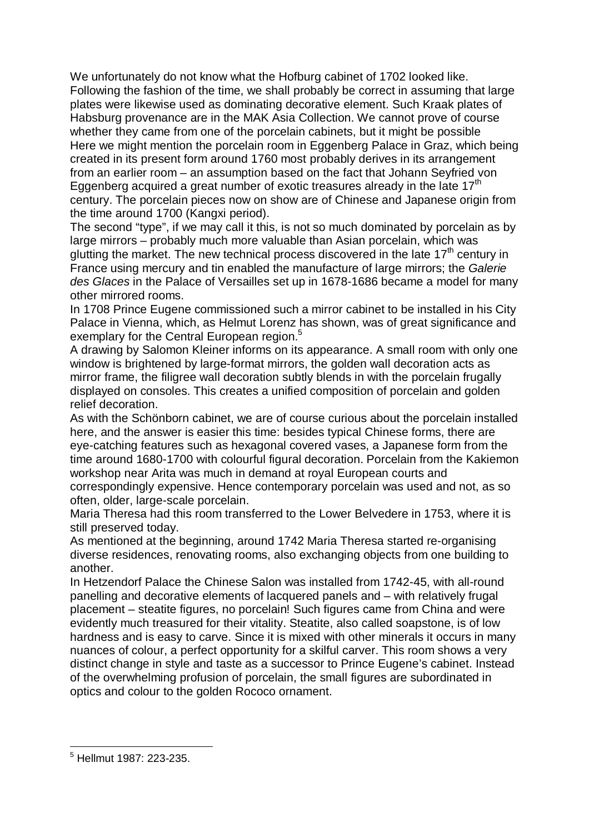We unfortunately do not know what the Hofburg cabinet of 1702 looked like. Following the fashion of the time, we shall probably be correct in assuming that large plates were likewise used as dominating decorative element. Such Kraak plates of Habsburg provenance are in the MAK Asia Collection. We cannot prove of course whether they came from one of the porcelain cabinets, but it might be possible Here we might mention the porcelain room in Eggenberg Palace in Graz, which being created in its present form around 1760 most probably derives in its arrangement from an earlier room – an assumption based on the fact that Johann Seyfried von Eggenberg acquired a great number of exotic treasures already in the late  $17<sup>th</sup>$ century. The porcelain pieces now on show are of Chinese and Japanese origin from the time around 1700 (Kangxi period).

The second "type", if we may call it this, is not so much dominated by porcelain as by large mirrors – probably much more valuable than Asian porcelain, which was glutting the market. The new technical process discovered in the late  $17<sup>th</sup>$  century in France using mercury and tin enabled the manufacture of large mirrors; the *Galerie des Glaces* in the Palace of Versailles set up in 1678-1686 became a model for many other mirrored rooms.

In 1708 Prince Eugene commissioned such a mirror cabinet to be installed in his City Palace in Vienna, which, as Helmut Lorenz has shown, was of great significance and exemplary for the Central European region.<sup>5</sup>

A drawing by Salomon Kleiner informs on its appearance. A small room with only one window is brightened by large-format mirrors, the golden wall decoration acts as mirror frame, the filigree wall decoration subtly blends in with the porcelain frugally displayed on consoles. This creates a unified composition of porcelain and golden relief decoration.

As with the Schönborn cabinet, we are of course curious about the porcelain installed here, and the answer is easier this time: besides typical Chinese forms, there are eye-catching features such as hexagonal covered vases, a Japanese form from the time around 1680-1700 with colourful figural decoration. Porcelain from the Kakiemon workshop near Arita was much in demand at royal European courts and correspondingly expensive. Hence contemporary porcelain was used and not, as so often, older, large-scale porcelain.

Maria Theresa had this room transferred to the Lower Belvedere in 1753, where it is still preserved today.

As mentioned at the beginning, around 1742 Maria Theresa started re-organising diverse residences, renovating rooms, also exchanging objects from one building to another.

In Hetzendorf Palace the Chinese Salon was installed from 1742-45, with all-round panelling and decorative elements of lacquered panels and – with relatively frugal placement – steatite figures, no porcelain! Such figures came from China and were evidently much treasured for their vitality. Steatite, also called soapstone, is of low hardness and is easy to carve. Since it is mixed with other minerals it occurs in many nuances of colour, a perfect opportunity for a skilful carver. This room shows a very distinct change in style and taste as a successor to Prince Eugene's cabinet. Instead of the overwhelming profusion of porcelain, the small figures are subordinated in optics and colour to the golden Rococo ornament.

 $\ddot{\phantom{a}}$ 

<sup>5</sup> Hellmut 1987: 223-235.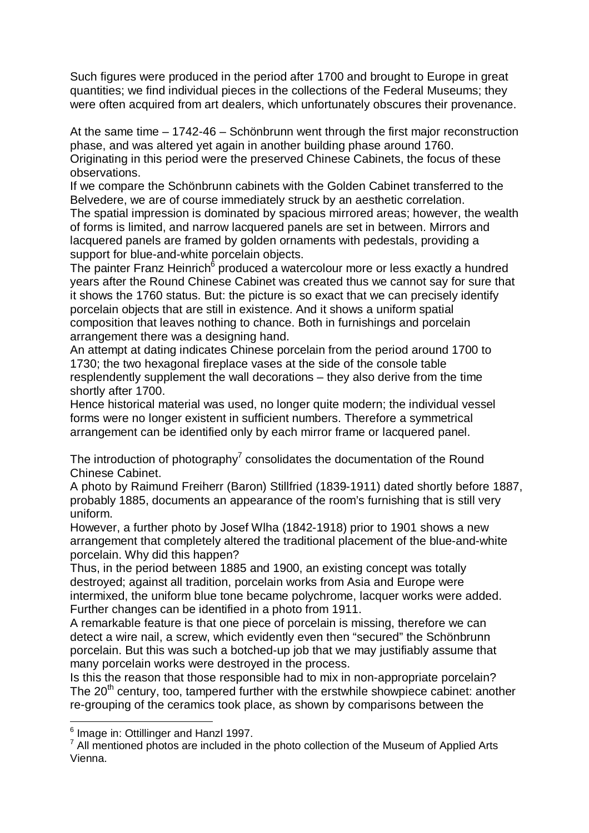Such figures were produced in the period after 1700 and brought to Europe in great quantities; we find individual pieces in the collections of the Federal Museums; they were often acquired from art dealers, which unfortunately obscures their provenance.

At the same time – 1742-46 – Schönbrunn went through the first major reconstruction phase, and was altered yet again in another building phase around 1760. Originating in this period were the preserved Chinese Cabinets, the focus of these observations.

If we compare the Schönbrunn cabinets with the Golden Cabinet transferred to the Belvedere, we are of course immediately struck by an aesthetic correlation.

The spatial impression is dominated by spacious mirrored areas; however, the wealth of forms is limited, and narrow lacquered panels are set in between. Mirrors and lacquered panels are framed by golden ornaments with pedestals, providing a support for blue-and-white porcelain objects.

The painter Franz Heinrich<sup>6</sup> produced a watercolour more or less exactly a hundred years after the Round Chinese Cabinet was created thus we cannot say for sure that it shows the 1760 status. But: the picture is so exact that we can precisely identify porcelain objects that are still in existence. And it shows a uniform spatial composition that leaves nothing to chance. Both in furnishings and porcelain arrangement there was a designing hand.

An attempt at dating indicates Chinese porcelain from the period around 1700 to 1730; the two hexagonal fireplace vases at the side of the console table resplendently supplement the wall decorations – they also derive from the time shortly after 1700.

Hence historical material was used, no longer quite modern; the individual vessel forms were no longer existent in sufficient numbers. Therefore a symmetrical arrangement can be identified only by each mirror frame or lacquered panel.

The introduction of photography<sup>7</sup> consolidates the documentation of the Round Chinese Cabinet.

A photo by Raimund Freiherr (Baron) Stillfried (1839-1911) dated shortly before 1887, probably 1885, documents an appearance of the room's furnishing that is still very uniform.

However, a further photo by Josef Wlha (1842-1918) prior to 1901 shows a new arrangement that completely altered the traditional placement of the blue-and-white porcelain. Why did this happen?

Thus, in the period between 1885 and 1900, an existing concept was totally destroyed; against all tradition, porcelain works from Asia and Europe were intermixed, the uniform blue tone became polychrome, lacquer works were added. Further changes can be identified in a photo from 1911.

A remarkable feature is that one piece of porcelain is missing, therefore we can detect a wire nail, a screw, which evidently even then "secured" the Schönbrunn porcelain. But this was such a botched-up job that we may justifiably assume that many porcelain works were destroyed in the process.

Is this the reason that those responsible had to mix in non-appropriate porcelain? The  $20<sup>th</sup>$  century, too, tampered further with the erstwhile showpiece cabinet: another re-grouping of the ceramics took place, as shown by comparisons between the

 $\ddot{\phantom{a}}$ 

<sup>6</sup> Image in: Ottillinger and Hanzl 1997.

 $7$  All mentioned photos are included in the photo collection of the Museum of Applied Arts Vienna.